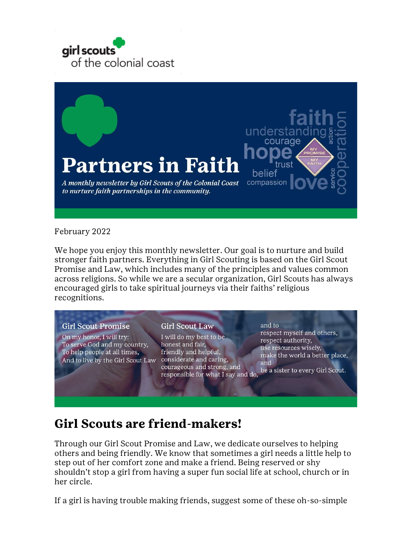



#### February 2022

We hope you enjoy this monthly newsletter. Our goal is to nurture and build stronger faith partners. Everything in Girl Scouting is based on the Girl Scout Promise and Law, which includes many of the principles and values common across religions. So while we are a secular organization, Girl Scouts has always encouraged girls to take spiritual journeys via their faiths' religious recognitions.

#### **Girl Scout Promise**

On my honor, I will try: To serve God and my country, To help people at all times, And to live by the Girl Scout Law considerate and caring,

#### **Girl Scout Law**

I will do my best to be honest and fair, friendly and helpful, courageous and strong, and responsible for what I say and do,

and to respect myself and others, respect authority, use resources wisely, make the world a better place, and be a sister to every Girl Scout.

# **Girl Scouts are friend-makers!**

Through our Girl Scout Promise and Law, we dedicate ourselves to helping others and being friendly. We know that sometimes a girl needs a little help to step out of her comfort zone and make a friend. Being reserved or shy shouldn't stop a girl from having a super fun social life at school, church or in her circle.

If a girl is having trouble making friends, suggest some of these oh-so-simple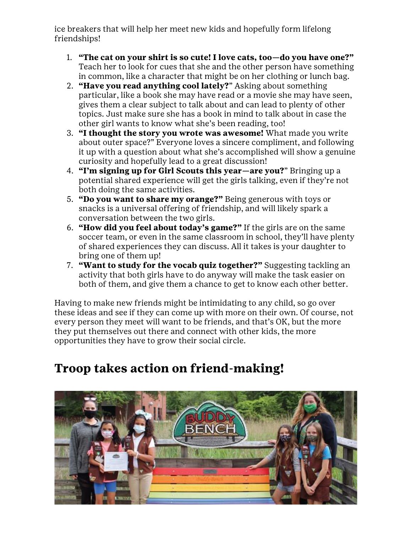ice breakers that will help her meet new kids and hopefully form lifelong friendships!

- 1. **"The cat on your shirt is so cute! I love cats, too—do you have one?"** Teach her to look for cues that she and the other person have something in common, like a character that might be on her clothing or lunch bag.
- 2. **"Have you read anything cool lately?**" Asking about something particular, like a book she may have read or a movie she may have seen, gives them a clear subject to talk about and can lead to plenty of other topics. Just make sure she has a book in mind to talk about in case the other girl wants to know what she's been reading, too!
- 3. **"I thought the story you wrote was awesome!** What made you write about outer space?" Everyone loves a sincere compliment, and following it up with a question about what she's accomplished will show a genuine curiosity and hopefully lead to a great discussion!
- 4. **"I'm signing up for Girl Scouts this year—are you?**" Bringing up a potential shared experience will get the girls talking, even if they're not both doing the same activities.
- 5. **"Do you want to share my orange?"** Being generous with toys or snacks is a universal offering of friendship, and will likely spark a conversation between the two girls.
- 6. **"How did you feel about today's game?"** If the girls are on the same soccer team, or even in the same classroom in school, they'll have plenty of shared experiences they can discuss. All it takes is your daughter to bring one of them up!
- 7. **"Want to study for the vocab quiz together?"** Suggesting tackling an activity that both girls have to do anyway will make the task easier on both of them, and give them a chance to get to know each other better.

Having to make new friends might be intimidating to any child, so go over these ideas and see if they can come up with more on their own. Of course, not every person they meet will want to be friends, and that's OK, but the more they put themselves out there and connect with other kids, the more opportunities they have to grow their social circle.

# **Troop takes action on friend-making!**

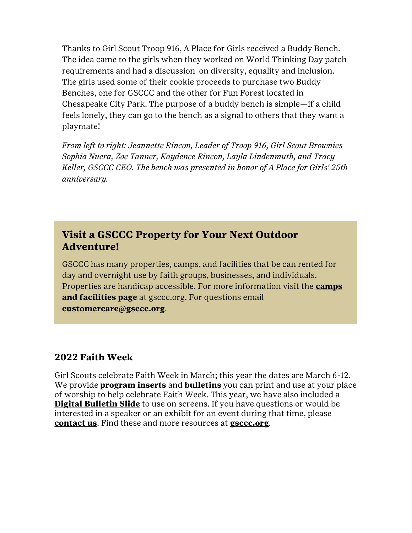Thanks to Girl Scout Troop 916, A Place for Girls received a Buddy Bench. The idea came to the girls when they worked on World Thinking Day patch requirements and had a discussion on diversity, equality and inclusion. The girls used some of their cookie proceeds to purchase two Buddy Benches, one for GSCCC and the other for Fun Forest located in Chesapeake City Park. The purpose of a buddy bench is simple—if a child feels lonely, they can go to the bench as a signal to others that they want a playmate!

*From left to right: Jeannette Rincon, Leader of Troop 916, Girl Scout Brownies Sophia Nuera, Zoe Tanner, Kaydence Rincon, Layla Lindenmuth, and Tracy Keller, GSCCC CEO. The bench was presented in honor of A Place for Girls' 25th anniversary.*

# **Visit a GSCCC Property for Your Next Outdoor Adventure!**

GSCCC has many properties, camps, and facilities that be can rented for day and overnight use by faith groups, businesses, and individuals. Properties are handicap accessible. For more information visit the **[camps](http://click.email.girlscouts.org/?qs=72ff48a32c03887533161dbb01cd59894e703f739f60eb3e68c536bb7e43fa4fd4df477bb30d9f675df71b223e7a81fd)  [and facilities page](http://click.email.girlscouts.org/?qs=72ff48a32c03887533161dbb01cd59894e703f739f60eb3e68c536bb7e43fa4fd4df477bb30d9f675df71b223e7a81fd)** at gsccc.org. For questions email **[customercare@gsccc.org](mailto:customercare@gsccc.org?subject=GSCCC%20Properties)**.

### **2022 Faith Week**

Girl Scouts celebrate Faith Week in March; this year the dates are March 6-12. We provide **[program inserts](http://click.email.girlscouts.org/?qs=72ff48a32c038875494c28b702e38af59f70c0f03b653f906bd4d2c888c1275ac2c9117307ca2bd75178c022b68eb9c1)** and **[bulletins](http://click.email.girlscouts.org/?qs=72ff48a32c0388751d58b6439d5344ddd79f285b529e06efff9c929cad83e7a97bc547df514b34f067094e3b76b2191b)** you can print and use at your place of worship to help celebrate Faith Week. This year, we have also included a **[Digital Bulletin Slide](http://click.email.girlscouts.org/?qs=72ff48a32c0388758cd87dabda8f50af4676821efbdd725e154377d1b0288f96c9e8930830f3c05939152db5432ada8c)** to use on screens. If you have questions or would be interested in a speaker or an exhibit for an event during that time, please **[contact us](mailto:marcomm@gsccc.org?subject=Faith%20Week)**. Find these and more resources at **[gsccc.org](http://click.email.girlscouts.org/?qs=72ff48a32c038875ea4646224b1da32350c8c84752a5821bcd13169262226e66fb239d79543340fcf5f03fd74fa813b9)**.